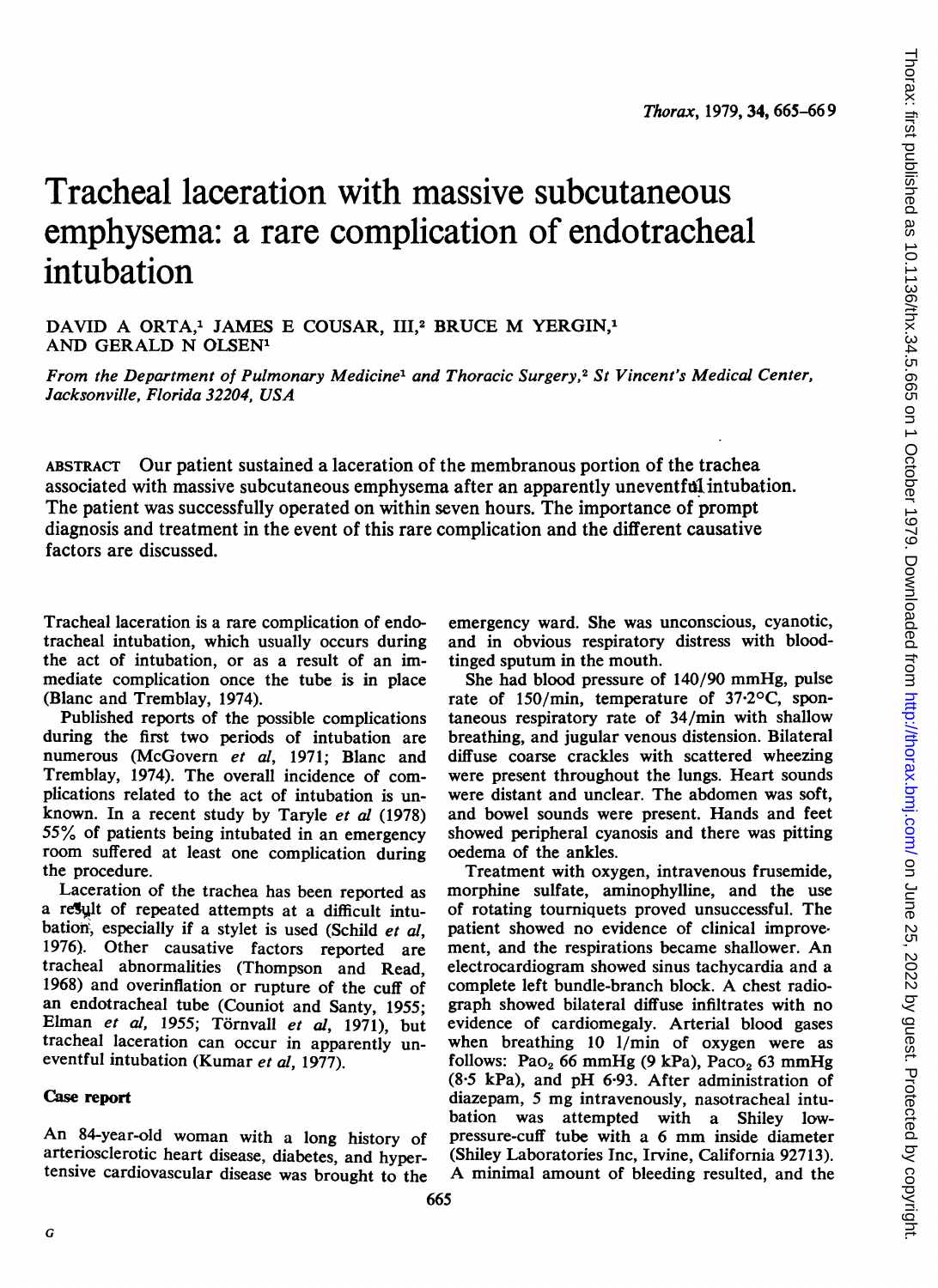## Tracheal laceration with massive subcutaneous emphysema: a rare complication of endotracheal intubation

DAVID A ORTA,<sup>1</sup> JAMES E COUSAR, III,<sup>2</sup> BRUCE M YERGIN,<sup>1</sup> AND GERALD N OLSEN'

From the Department of Pulmonary Medicine' and Thoracic Surgery,2 St Vincent's Medical Center, Jacksonville, Florida 32204, USA

ABSTRACT Our patient sustained a laceration of the membranous portion of the trachea associated with massive subcutaneous emphysema after an apparently uneventful intubation. The patient was successfully operated on within seven hours. The importance of prompt diagnosis and treatment in the event of this rare complication and the different causative factors are discussed.

Tracheal laceration is a rare complication of endotracheal intubation, which usually occurs during the act of intubation, or as a result of an immediate complication once the tube is in place (Blanc and Tremblay, 1974).

Published reports of the possible complications during the first two periods of intubation are numerous (McGovern et al, 1971; Blanc and Tremblay, 1974). The overall incidence of complications related to the act of intubation is unknown. In a recent study by Taryle et al (1978) 55% of patients being intubated in an emergency room suffered at least one complication during the procedure.

Laceration of the trachea has been reported as a result of repeated attempts at a difficult intubation, especially if a stylet is used (Schild et al, 1976). Other causative factors reported are tracheal abnormalities (Thompson and Read, 1968) and overinflation or rupture of the cuff of an endotracheal tube (Couniot and Santy, 1955; Elman et al, 1955; Törnvall et al, 1971), but tracheal laceration can occur in apparently uneventful intubation (Kumar et al, 1977).

## Case report

An 84-year-old woman with <sup>a</sup> long history of arteriosclerotic heart disease, diabetes, and hypertensive cardiovascular disease was brought to the emergency ward. She was unconscious, cyanotic, and in obvious respiratory distress with bloodtinged sputum in the mouth.

She had blood pressure of 140/90 mmHg, pulse rate of 150/min, temperature of 37.20C, spontaneous respiratory rate of 34/min with shallow breathing, and jugular venous distension. Bilateral diffuse coarse crackles with scattered wheezing were present throughout the lungs. Heart sounds were distant and unclear. The abdomen was soft, and bowel sounds were present. Hands and feet showed peripheral cyanosis and there was pitting oedema of the ankles.

Treatment with oxygen, intravenous frusemide, morphine sulfate, aminophylline, and the use of rotating tourniquets proved unsuccessful. The patient showed no evidence of clinical improvement, and the respirations became shallower. An electrocardiogram showed sinus tachycardia and a complete left bundle-branch block. A chest radiograph showed bilateral diffuse infiltrates with no evidence of cardiomegaly. Arterial blood gases when breathing 10 1/min of oxygen were as follows: Pao<sub>2</sub> 66 mmHg (9 kPa), Paco<sub>2</sub> 63 mmHg (8-5 kPa), and pH 6-93. After administration of diazepam, <sup>5</sup> mg intravenously, nasotracheal intubation was attempted with a Shiley lowpressure-cuff tube with <sup>a</sup> <sup>6</sup> mm inside diameter (Shiley Laboratories Inc, Irvine, California 92713). A minimal amount of bleeding resulted, and the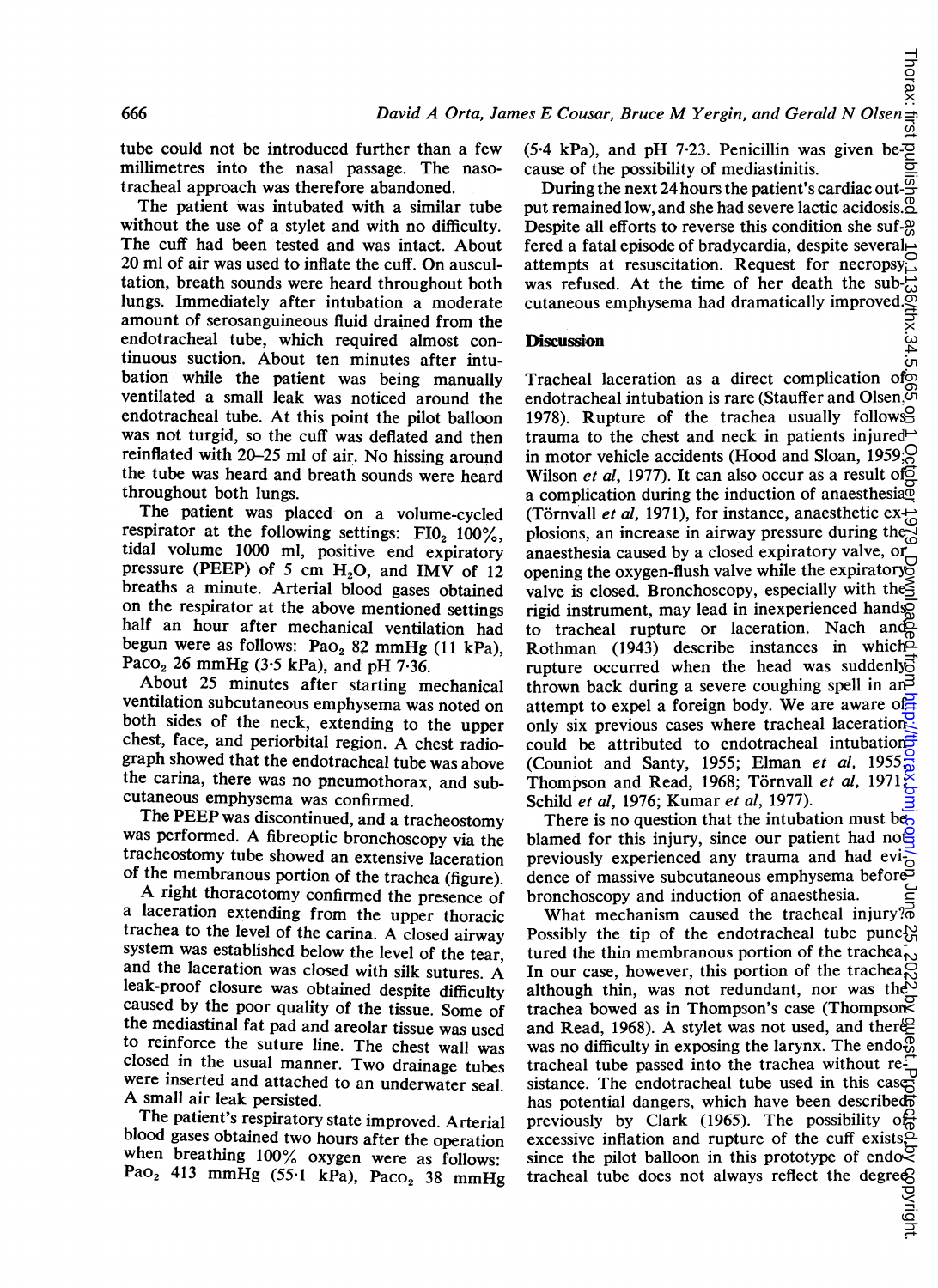tube could not be introduced further than a few millimetres into the nasal passage. The nasotracheal approach was therefore abandoned.

The patient was intubated with a similar tube without the use of a stylet and with no difficulty. The cuff had been tested and was intact. About 20 ml of air was used to inflate the cuff. On auscultation, breath sounds were heard throughout both lungs. Immediately after intubation a moderate amount of serosanguineous fluid drained from the endotracheal tube, which required almost continuous suction. About ten minutes after intubation while the patient was being manually ventilated a small leak was noticed around the endotracheal tube. At this point the pilot balloon was not turgid, so the cuff was deflated and then reinflated with 20-25 ml of air. No hissing around the tube was heard and breath sounds were heard throughout both lungs.

The patient was placed on a volume-cycled respirator at the following settings:  $F10<sub>2</sub> 100\%,$ tidal volume 1000 ml, positive end expiratory pressure (PEEP) of 5 cm  $H_2O$ , and IMV of 12 breaths a minute. Arterial blood gases obtained on the respirator at the above mentioned settings half an hour after mechanical ventilation had begun were as follows:  $PaO<sub>2</sub>$  82 mmHg (11 kPa), Paco<sub>2</sub> 26 mmHg (3.5 kPa), and pH 7.36.

About 25 minutes after starting mechanical ventilation subcutaneous emphysema was noted on both sides of the neck, extending to the upper chest, face, and periorbital region. A chest radiograph showed that the endotracheal tube was above the carina, there was no pneumothorax, and subcutaneous emphysema was confirmed.

The PEEP was discontinued, and a tracheostomy was performed. A fibreoptic bronchoscopy via the tracheostomy tube showed an extensive laceration of the membranous portion of the trachea (figure).

A right thoracotomy confirmed the presence of a laceration extending from the upper thoracic trachea to the level of the carina. A closed airway system was established below the level of the tear, and the laceration was closed with silk sutures. A leak-proof closure was obtained despite difficulty caused by the poor quality of the tissue. Some of the mediastinal fat pad and areolar tissue was used to reinforce the suture line. The chest wall was closed in the usual manner. Two drainage tubes were inserted and attached to an underwater seal. A small air leak persisted.

The patient's respiratory state improved. Arterial blood gases obtained two hours after the operation when breathing 100% oxygen were as follows: Pao<sub>2</sub> 413 mmHg (55.1 kPa), Paco<sub>2</sub> 38 mmHg

 $(5.4 \text{ kPa})$ , and pH 7.23. Penicillin was given because of the possibility of mediastinitis.

During the next 24 hours the patient's cardiac out- $\overline{S}$ put remained low, and she had severe lactic acidosis. $\frac{3}{2}$ Despite all efforts to reverse this condition she suf-2 fered a fatal episode of bradycardia, despite several attempts at resuscitation. Request for necropsy was refused. At the time of her death the sub- $\dot{z}$ was refused. At the time of her death the subcutaneous emphysema had dramatically improved.

..<br>თ

## **Discussion**

Tracheal laceration as a direct complication of endotracheal intubation is rare (Stauffer and Olsen,  $\breve{\phi}$ 1978). Rupture of the trachea usually follows trauma to the chest and neck in patients injured  $\rightarrow$ in motor vehicle accidents (Hood and Sloan, 1959; Wilson et al, 1977). It can also occur as a result of  $\overrightarrow{2}$ a complication during the induction of anaesthesia (Törnvall *et al.* 1971), for instance, anaesthetic explosions, an increase in airway pressure during the anaesthesia caused by a closed expiratory valve, or opening the oxygen-flush valve while the expiratory valve is closed. Bronchoscopy, especially with the  $\leq$ rigid instrument, may lead in inexperienced hands to tracheal rupture or laceration. Nach and Rothman (1943) describe instances in which rupture occurred when the head was suddenly? thrown back during a severe coughing spell in an<sup>3</sup> attempt to expel <sup>a</sup> foreign body. We are aware of only six previous cases where tracheal lacerations. could be attributed to endotracheal intubations (Couniot and Santy, 1955; Elman et al, 1955; Thompson and Read, 1968; Törnvall et al, 1971 Schild et al, 1976; Kumar et al, 1977). on June 25, 2022 by groeps as 10.212. Protect by copyrights published by copyright. Http://thorax.britished. Published as 10.1136/thm

There is no question that the intubation must beblamed for this injury, since our patient had not previously experienced any trauma and had evidence of massive subcutaneous emphysema before bronchoscopy and induction of anaesthesia.

What mechanism caused the tracheal injury? $\overline{\text{S}}$  Possibly the tip of the endotracheal tube punce Possibly the tip of the endotracheal tube punctured the thin membranous portion of the trachea $_{\uparrow}$ In our case, however, this portion of the trachea, although thin, was not redundant, nor was the trachea bowed as in Thompson's case (Thompson and Read, 1968). A stylet was not used, and there $\triangle$ was no difficulty in exposing the larynx. The endo $\frac{6}{10}$ <br>tracheal tube passed into the trachea without retracheal tube passed into the trachea without resistance. The endotracheal tube used in this case has potential dangers, which have been described previously by Clark (1965). The possibility of excessive inflation and rupture of the cuff exists, since the pilot balloon in this prototype of endotracheal tube does not always reflect the degree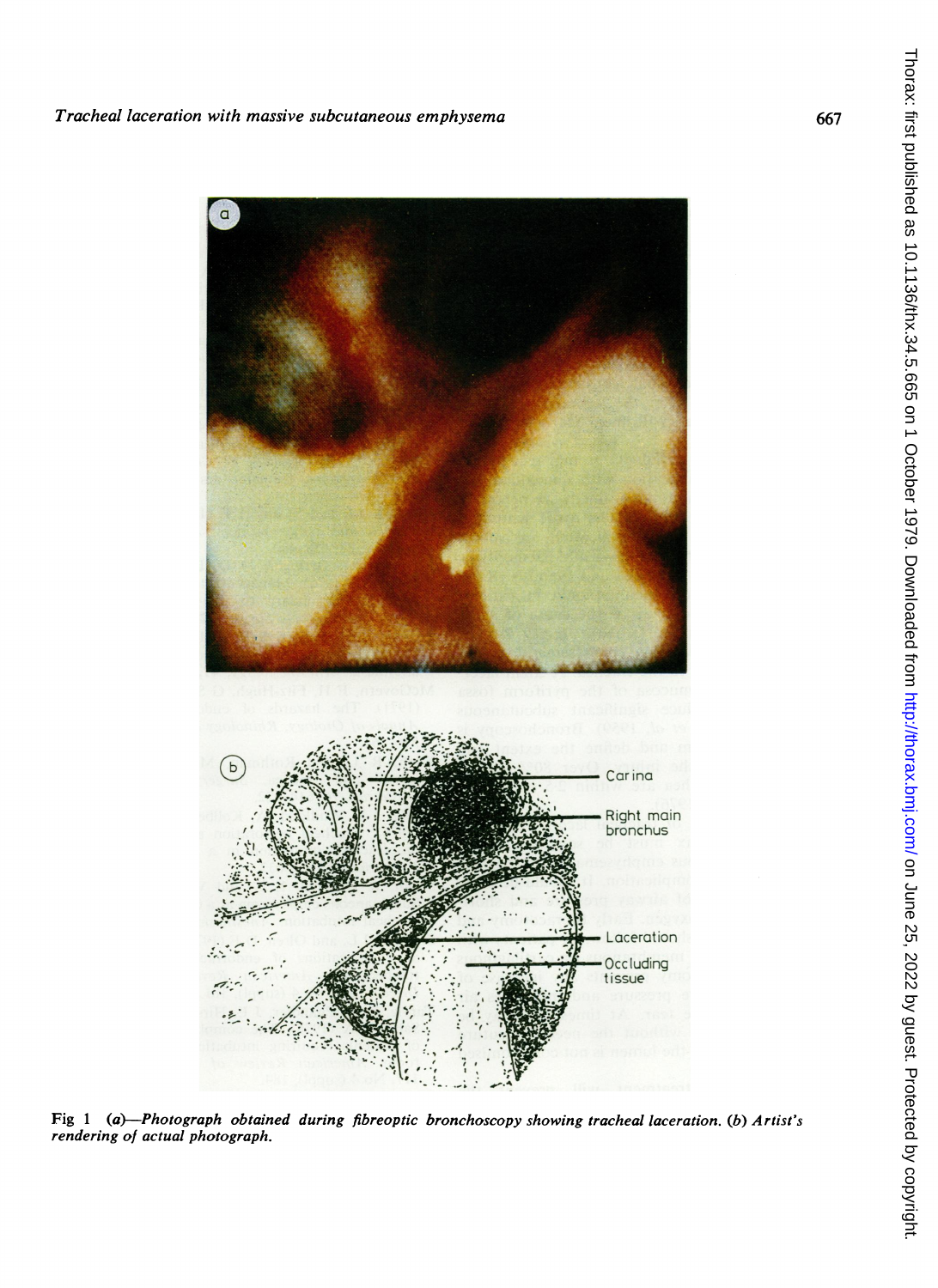

Fig <sup>1</sup> (a)-Photograph obtained during fibreoptic bronchoscopy showing tracheal laceration. (b) Artist's rendering of actual photograph.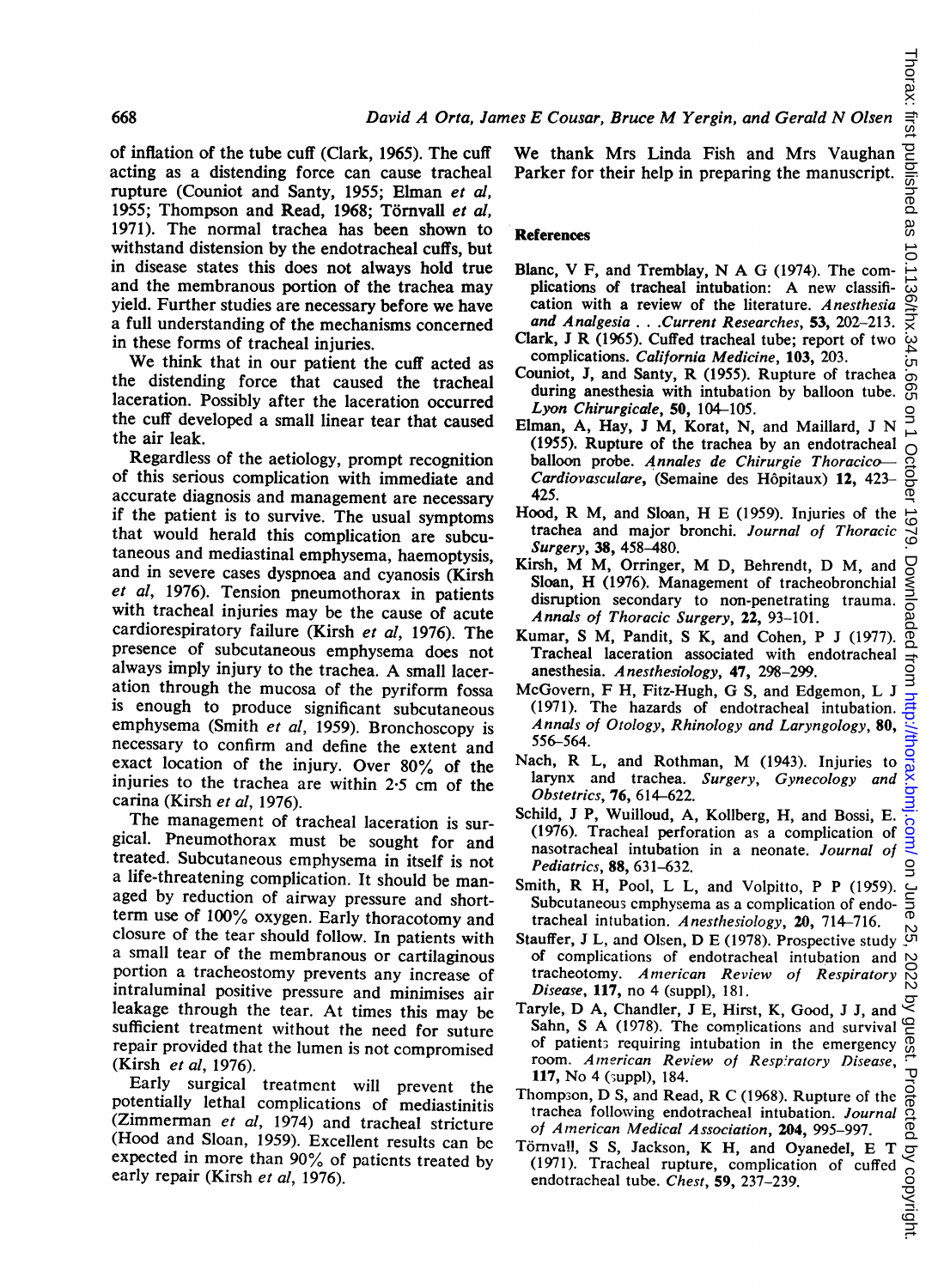of inflation of the tube cuff (Clark, 1965). The cuff acting as a distending force can cause tracheal rupture (Couniot and Santy, 1955; Elman et al, 1955; Thompson and Read, 1968; Törnvall et al, 1971). The normal trachea has been shown to withstand distension by the endotracheal cuffs, but in disease states this does not always hold true and the membranous portion of the trachea may yield. Further studies are necessary before we have a full understanding of the mechanisms concerned in these forms of tracheal injuries.

We think that in our patient the cuff acted as the distending force that caused the tracheal laceration. Possibly after the laceration occurred the cuff developed a small linear tear that caused the air leak.

Regardless of the aetiology, prompt recognition of this serious complication with immediate and accurate diagnosis and management are necessary if the patient is to survive. The usual symptoms that would herald this complication are subcutaneous and mediastinal emphysema, haemoptysis, and in severe cases dyspnoea and cyanosis (Kirsh et al, 1976). Tension pneumothorax in patients with tracheal injuries may be the cause of acute cardiorespiratory failure (Kirsh et al, 1976). The presence of subcutaneous emphysema does not always imply injury to the trachea. A small laceration through the mucosa of the pyriform fossa is enough to produce significant subcutaneous emphysema (Smith et al, 1959). Bronchoscopy is necessary to confirm and define the extent and exact location of the injury. Over 80% of the injuries to the trachea are within 2-5 cm of the carina (Kirsh et al, 1976).

The management of tracheal laceration is surgical. Pneumothorax must be sought for and treated. Subcutaneous emphysema in itself is not a life-threatening complication. It should be managed by reduction of airway pressure and shortterm use of 100% oxygen. Early thoracotomy and closure of the tear should follow. In patients with a small tear of the membranous or cartilaginous portion a tracheostomy prevents any increase of intraluminal positive pressure and minimises air leakage through the tear. At times this may be sufficient treatment without the need for suture repair provided that the lumen is not compromised (Kirsh et al, 1976).

Early surgical treatment will prevent the potentially lethal complications of mediastinitis (Zimmerman et al, 1974) and tracheal stricture (Hood and Sloan, 1959). Excellent results can bc expected in more than 90% of paticnts treated by early repair (Kirsh et al, 1976).

We thank Mrs Linda Fish and Mrs Vaughan Parker for their help in preparing the manuscript.

## **References**

- Blanc, V F, and Tremblay, N A G (1974). The complications of tracheal intubation: A new classification with a review of the literature. Anesthesia and Analgesia ... .Current Researches, 53, 202-213.
- Clark, <sup>J</sup> R (1965). Cuffed tracheal tube; report of two complications. California Medicine, 103, 203.
- Couniot, J, and Santy, R (1955). Rupture of trachea during anesthesia with intubation by balloon tube. Lyon Chirurgicale, 50, 104-105.
- Elman, A, Hay, <sup>J</sup> M, Korat, N, and Maillard, <sup>J</sup> N (1955). Rupture of the trachea by an endotracheal balloon probe. Annales de Chirurgie Thoracico-Cardiovasculare, (Semaine des Hôpitaux) 12, 423-425.
- Hood, R M, and Sloan, H E (1959). Injuries of the trachea and major bronchi. Journal of Thoracic Surgery, 38, 458-480.
- Kirsh, M M, Orringer, M D, Behrendt, D M, and Sloan, H (1976). Management of tracheobronchial disruption secondary to non-penetrating trauma. Annals of Thoracic Surgery, 22, 93-101.
- Kumar, S M, Pandit, S K, and Cohen, P <sup>J</sup> (1977). Tracheal laceration associated with endotracheal anesthesia. A nesthesiology, 47, 298-299.
- McGovem, F H, Fitz-Hugh, G S, and Edgemon, L <sup>J</sup> (1971). The hazards of endotracheal intubation. Annals of Otology, Rhinology and Laryngology, 80, 556-564.
- Nach, R L, and Rothman, M (1943). Injuries to larynx and trachea. Surgery, Gynecology and Obstetrics, 76, 614-622.
- Schild, J P, Wuilloud, A, Kollberg, H, and Bossi, E. (1976). Tracheal perforation as a complication of nasotracheal intubation in a neonate. Journal of Pediatrics, 88, 631-632.
- Smith, R H, Pool, L L, and Volpitto, P P (1959). Subcutaneous cmphysema as a complication of endotracheal intubation. Anesthesiology, 20, 714-716.
- Stauffer, <sup>J</sup> L, and Olsen, D E (1978). Prospective study of complications of endotracheal intubation and tracheotomy. Anmerican Review of Respiratory Disease, 117, no 4 (suppl), 181.
- Taryle, D A, Chandler, <sup>J</sup> E, Hirst, K, Good, <sup>J</sup> J, and Sahn, <sup>S</sup> A (1978). The complications and survival of patient; requiring intubation in the emergency room. American Review of Respiratory Disease, 117, No 4 (^uppl), 184.
- Thomp3on, D S, and Read, R C (1968). Rupture of the trachea following endotracheal intubation. Journal of American Medical Association, 204, 995-997.
- Törnvall, S S, Jackson, K H, and Oyanedel, E T (1971). Tracheal rupture, complication of cuffed endotracheal tube. Chest, 59, 237-239.